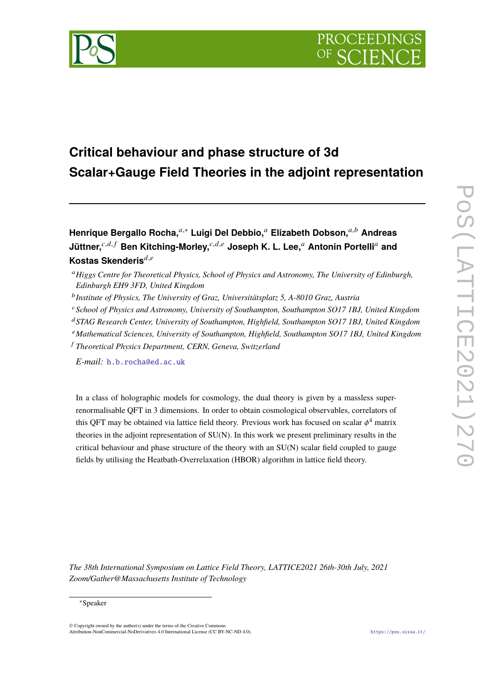

# **Critical behaviour and phase structure of 3d Scalar+Gauge Field Theories in the adjoint representation**

**Henrique Bergallo Rocha,**𝑎,<sup>∗</sup> **Luigi Del Debbio,**<sup>𝑎</sup> **Elizabeth Dobson,**𝑎,𝑏 **Andreas Jüttner,**<sup>c,d,f</sup> Ben Kitching-Morley,<sup>c,d,e</sup> Joseph K. L. Lee,<sup>a</sup> Antonin Portelli<sup>a</sup> and **Kostas Skenderis**<sup> $d,e$ </sup>

- <sup>b</sup> Institute of Physics, The University of Graz, Universitätsplatz 5, A-8010 Graz, Austria
- <sup>𝑐</sup>*School of Physics and Astronomy, University of Southampton, Southampton SO17 1BJ, United Kingdom*
- <sup>𝑑</sup>*STAG Research Center, University of Southampton, Highfield, Southampton SO17 1BJ, United Kingdom*
- <sup>𝑒</sup>*Mathematical Sciences, University of Southampton, Highfield, Southampton SO17 1BJ, United Kingdom*
- <sup>𝑓</sup> *Theoretical Physics Department, CERN, Geneva, Switzerland*

*E-mail:* [h.b.rocha@ed.ac.uk](mailto:h.b.rocha@ed.ac.uk)

In a class of holographic models for cosmology, the dual theory is given by a massless superrenormalisable QFT in 3 dimensions. In order to obtain cosmological observables, correlators of this QFT may be obtained via lattice field theory. Previous work has focused on scalar  $\phi^4$  matrix theories in the adjoint representation of SU(N). In this work we present preliminary results in the critical behaviour and phase structure of the theory with an SU(N) scalar field coupled to gauge fields by utilising the Heatbath-Overrelaxation (HBOR) algorithm in lattice field theory.

*The 38th International Symposium on Lattice Field Theory, LATTICE2021 26th-30th July, 2021 Zoom/Gather@Massachusetts Institute of Technology*

#### <sup>∗</sup>Speaker

 $\odot$  Copyright owned by the author(s) under the terms of the Creative Common Attribution-NonCommercial-NoDerivatives 4.0 International License (CC BY-NC-ND 4.0). <https://pos.sissa.it/>

<sup>𝑎</sup>*Higgs Centre for Theoretical Physics, School of Physics and Astronomy, The University of Edinburgh, Edinburgh EH9 3FD, United Kingdom*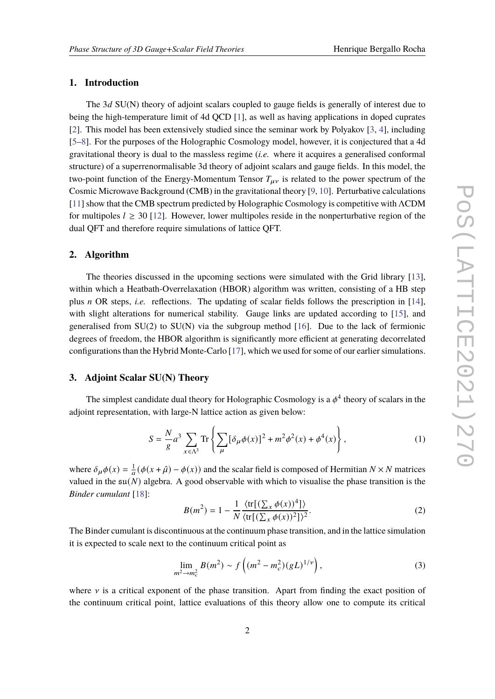## **1. Introduction**

The  $3d$  SU(N) theory of adjoint scalars coupled to gauge fields is generally of interest due to being the high-temperature limit of 4d QCD [\[1\]](#page-7-0), as well as having applications in doped cuprates [\[2\]](#page-7-1). This model has been extensively studied since the seminar work by Polyakov [\[3,](#page-7-2) [4\]](#page-7-3), including [\[5](#page-7-4)[–8\]](#page-7-5). For the purposes of the Holographic Cosmology model, however, it is conjectured that a 4d gravitational theory is dual to the massless regime (*i.e.* where it acquires a generalised conformal structure) of a superrenormalisable 3d theory of adjoint scalars and gauge fields. In this model, the two-point function of the Energy-Momentum Tensor  $T_{\mu\nu}$  is related to the power spectrum of the Cosmic Microwave Background (CMB) in the gravitational theory [\[9,](#page-7-6) [10\]](#page-7-7). Perturbative calculations [\[11\]](#page-7-8) show that the CMB spectrum predicted by Holographic Cosmology is competitive with ΛCDM for multipoles  $l \geq 30$  [\[12\]](#page-7-9). However, lower multipoles reside in the nonperturbative region of the dual QFT and therefore require simulations of lattice QFT.

#### **2. Algorithm**

The theories discussed in the upcoming sections were simulated with the Grid library [\[13\]](#page-7-10), within which a Heatbath-Overrelaxation (HBOR) algorithm was written, consisting of a HB step plus *n* OR steps, *i.e.* reflections. The updating of scalar fields follows the prescription in [\[14\]](#page-7-11), with slight alterations for numerical stability. Gauge links are updated according to [\[15\]](#page-8-0), and generalised from  $SU(2)$  to  $SU(N)$  via the subgroup method [\[16\]](#page-8-1). Due to the lack of fermionic degrees of freedom, the HBOR algorithm is significantly more efficient at generating decorrelated configurations than the Hybrid Monte-Carlo [\[17\]](#page-8-2), which we used for some of our earlier simulations.

## **3. Adjoint Scalar SU(N) Theory**

The simplest candidate dual theory for Holographic Cosmology is a  $\phi^4$  theory of scalars in the adjoint representation, with large-N lattice action as given below:

<span id="page-1-0"></span>
$$
S = \frac{N}{g}a^3 \sum_{x \in \Lambda^3} \text{Tr} \left\{ \sum_{\mu} [\delta_{\mu} \phi(x)]^2 + m^2 \phi^2(x) + \phi^4(x) \right\},\tag{1}
$$

where  $\delta_{\mu}\phi(x) = \frac{1}{a}(\phi(x+\hat{\mu}) - \phi(x))$  and the scalar field is composed of Hermitian  $N \times N$  matrices valued in the  $\mathfrak{su}(N)$  algebra. A good observable with which to visualise the phase transition is the *Binder cumulant* [\[18\]](#page-8-3):

$$
B(m2) = 1 - \frac{1}{N} \frac{\langle \text{tr}[(\sum_{x} \phi(x))^{4}]\rangle}{\langle \text{tr}[(\sum_{x} \phi(x))^{2}]\rangle^{2}}.
$$
 (2)

The Binder cumulant is discontinuous at the continuum phase transition, and in the lattice simulation it is expected to scale next to the continuum critical point as

$$
\lim_{m^2 \to m_c^2} B(m^2) \sim f\left((m^2 - m_c^2)(gL)^{1/\nu}\right),\tag{3}
$$

where  $\nu$  is a critical exponent of the phase transition. Apart from finding the exact position of the continuum critical point, lattice evaluations of this theory allow one to compute its critical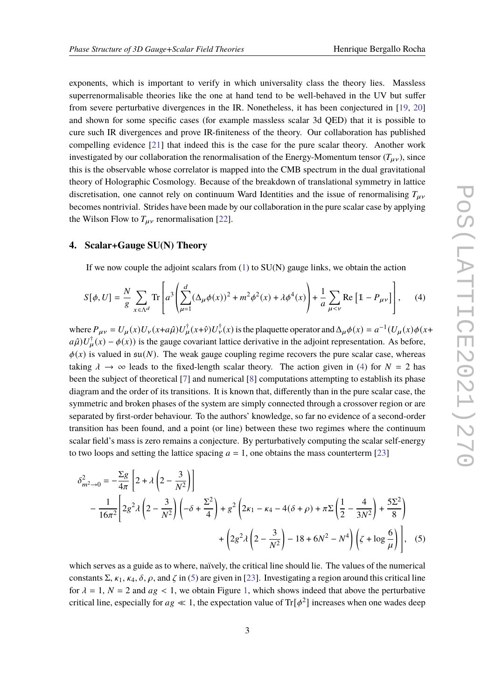exponents, which is important to verify in which universality class the theory lies. Massless superrenormalisable theories like the one at hand tend to be well-behaved in the UV but suffer from severe perturbative divergences in the IR. Nonetheless, it has been conjectured in [\[19,](#page-8-4) [20\]](#page-8-5) and shown for some specific cases (for example massless scalar 3d QED) that it is possible to cure such IR divergences and prove IR-finiteness of the theory. Our collaboration has published compelling evidence [\[21\]](#page-8-6) that indeed this is the case for the pure scalar theory. Another work investigated by our collaboration the renormalisation of the Energy-Momentum tensor  $(T_{\mu\nu})$ , since this is the observable whose correlator is mapped into the CMB spectrum in the dual gravitational theory of Holographic Cosmology. Because of the breakdown of translational symmetry in lattice discretisation, one cannot rely on continuum Ward Identities and the issue of renormalising  $T_{\mu\nu}$ becomes nontrivial. Strides have been made by our collaboration in the pure scalar case by applying the Wilson Flow to  $T_{\mu\nu}$  renormalisation [\[22\]](#page-8-7).

#### **4. Scalar+Gauge SU(N) Theory**

If we now couple the adjoint scalars from  $(1)$  to  $SU(N)$  gauge links, we obtain the action

<span id="page-2-0"></span>
$$
S[\phi, U] = \frac{N}{g} \sum_{x \in \Lambda^d} \text{Tr} \left[ a^3 \left( \sum_{\mu=1}^d (\Delta_\mu \phi(x))^2 + m^2 \phi^2(x) + \lambda \phi^4(x) \right) + \frac{1}{a} \sum_{\mu < \nu} \text{Re} \left[ 1 - P_{\mu\nu} \right] \right], \tag{4}
$$

where  $P_{\mu\nu} = U_{\mu}(x)U_{\nu}(x+a\hat{\mu})U_{\mu}^{\dagger}(x+\hat{\nu})U_{\nu}^{\dagger}(x)$  is the plaquette operator and  $\Delta_{\mu}\phi(x) = a^{-1}(U_{\mu}(x)\phi(x+a\hat{\mu}))$  $a\hat{\mu}$ ) $U^{\dagger}_{\mu}(x) - \phi(x)$ ) is the gauge covariant lattice derivative in the adjoint representation. As before,  $\phi(x)$  is valued in  $\mathfrak{su}(N)$ . The weak gauge coupling regime recovers the pure scalar case, whereas taking  $\lambda \to \infty$  leads to the fixed-length scalar theory. The action given in [\(4\)](#page-2-0) for  $N = 2$  has been the subject of theoretical [\[7\]](#page-7-12) and numerical [\[8\]](#page-7-5) computations attempting to establish its phase diagram and the order of its transitions. It is known that, differently than in the pure scalar case, the symmetric and broken phases of the system are simply connected through a crossover region or are separated by first-order behaviour. To the authors' knowledge, so far no evidence of a second-order transition has been found, and a point (or line) between these two regimes where the continuum scalar field's mass is zero remains a conjecture. By perturbatively computing the scalar self-energy to two loops and setting the lattice spacing  $a = 1$ , one obtains the mass counterterm [\[23\]](#page-8-8)

<span id="page-2-1"></span>
$$
\delta_{m^{2}\to0}^{2} = -\frac{\Sigma g}{4\pi} \left[ 2 + \lambda \left( 2 - \frac{3}{N^{2}} \right) \right]
$$
  
 
$$
-\frac{1}{16\pi^{2}} \left[ 2g^{2} \lambda \left( 2 - \frac{3}{N^{2}} \right) \left( -\delta + \frac{\Sigma^{2}}{4} \right) + g^{2} \left( 2\kappa_{1} - \kappa_{4} - 4(\delta + \rho) + \pi \Sigma \left( \frac{1}{2} - \frac{4}{3N^{2}} \right) + \frac{5\Sigma^{2}}{8} \right) + \left( 2g^{2} \lambda \left( 2 - \frac{3}{N^{2}} \right) - 18 + 6N^{2} - N^{4} \right) \left( \zeta + \log \frac{6}{\mu} \right) \right],
$$
 (5)

which serves as a guide as to where, naïvely, the critical line should lie. The values of the numerical constants  $\Sigma$ ,  $\kappa_1$ ,  $\kappa_4$ ,  $\delta$ ,  $\rho$ , and  $\zeta$  in [\(5\)](#page-2-1) are given in [\[23\]](#page-8-8). Investigating a region around this critical line for  $\lambda = 1$ ,  $N = 2$  and  $ag < 1$ , we obtain Figure [1,](#page-3-0) which shows indeed that above the perturbative critical line, especially for  $ag \ll 1$ , the expectation value of Tr $[\phi^2]$  increases when one wades deep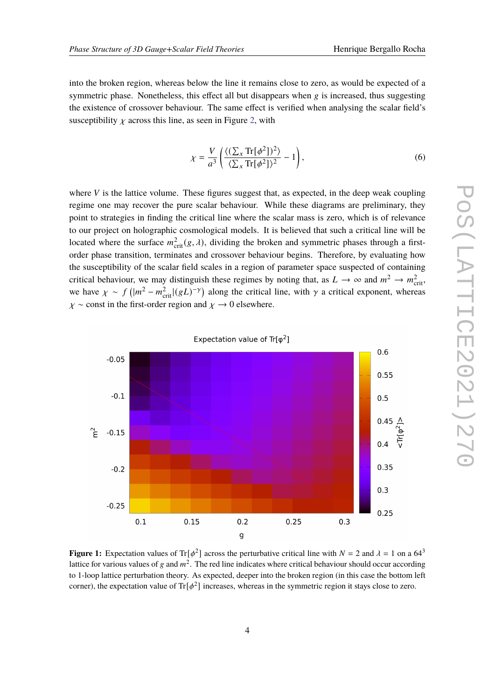into the broken region, whereas below the line it remains close to zero, as would be expected of a symmetric phase. Nonetheless, this effect all but disappears when  $g$  is increased, thus suggesting the existence of crossover behaviour. The same effect is verified when analysing the scalar field's susceptibility  $\chi$  across this line, as seen in Figure [2,](#page-4-0) with

$$
\chi = \frac{V}{a^3} \left( \frac{\langle (\sum_{x} \text{Tr}[\phi^2])^2 \rangle}{\langle \sum_{x} \text{Tr}[\phi^2] \rangle^2} - 1 \right),\tag{6}
$$

where  $V$  is the lattice volume. These figures suggest that, as expected, in the deep weak coupling regime one may recover the pure scalar behaviour. While these diagrams are preliminary, they point to strategies in finding the critical line where the scalar mass is zero, which is of relevance to our project on holographic cosmological models. It is believed that such a critical line will be located where the surface  $m_{\text{crit}}^2(g, \lambda)$ , dividing the broken and symmetric phases through a firstorder phase transition, terminates and crossover behaviour begins. Therefore, by evaluating how the susceptibility of the scalar field scales in a region of parameter space suspected of containing critical behaviour, we may distinguish these regimes by noting that, as  $L \to \infty$  and  $m^2 \to m_{\text{crit}}^2$ , we have  $\chi \sim f\left(|m^2 - m_{\text{crit}}^2|(gL)^{-\gamma}\right)$  along the critical line, with  $\gamma$  a critical exponent, whereas  $\chi \sim$  const in the first-order region and  $\chi \to 0$  elsewhere.

<span id="page-3-0"></span>

**Figure 1:** Expectation values of Tr[ $\phi^2$ ] across the perturbative critical line with  $N = 2$  and  $\lambda = 1$  on a 64<sup>3</sup> lattice for various values of g and  $m^2$ . The red line indicates where critical behaviour should occur according to 1-loop lattice perturbation theory. As expected, deeper into the broken region (in this case the bottom left corner), the expectation value of Tr[ $\phi^2$ ] increases, whereas in the symmetric region it stays close to zero.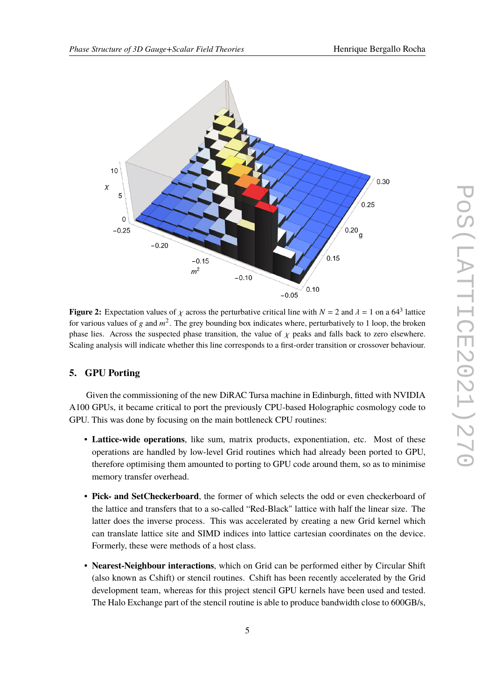<span id="page-4-0"></span>

**Figure 2:** Expectation values of  $\chi$  across the perturbative critical line with  $N = 2$  and  $\lambda = 1$  on a 64<sup>3</sup> lattice for various values of g and  $m^2$ . The grey bounding box indicates where, perturbatively to 1 loop, the broken phase lies. Across the suspected phase transition, the value of  $\chi$  peaks and falls back to zero elsewhere. Scaling analysis will indicate whether this line corresponds to a first-order transition or crossover behaviour.

#### **5. GPU Porting**

Given the commissioning of the new DiRAC Tursa machine in Edinburgh, fitted with NVIDIA A100 GPUs, it became critical to port the previously CPU-based Holographic cosmology code to GPU. This was done by focusing on the main bottleneck CPU routines:

- **Lattice-wide operations**, like sum, matrix products, exponentiation, etc. Most of these operations are handled by low-level Grid routines which had already been ported to GPU, therefore optimising them amounted to porting to GPU code around them, so as to minimise memory transfer overhead.
- **Pick- and SetCheckerboard**, the former of which selects the odd or even checkerboard of the lattice and transfers that to a so-called "Red-Black" lattice with half the linear size. The latter does the inverse process. This was accelerated by creating a new Grid kernel which can translate lattice site and SIMD indices into lattice cartesian coordinates on the device. Formerly, these were methods of a host class.
- **Nearest-Neighbour interactions**, which on Grid can be performed either by Circular Shift (also known as Cshift) or stencil routines. Cshift has been recently accelerated by the Grid development team, whereas for this project stencil GPU kernels have been used and tested. The Halo Exchange part of the stencil routine is able to produce bandwidth close to 600GB/s,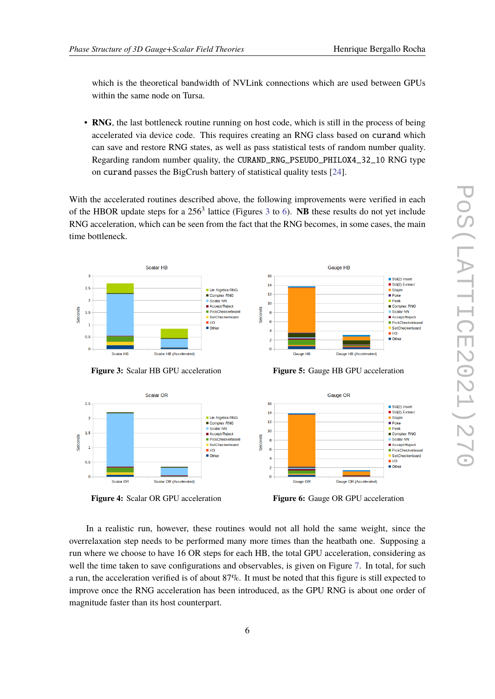which is the theoretical bandwidth of NVLink connections which are used between GPUs within the same node on Tursa.

• **RNG**, the last bottleneck routine running on host code, which is still in the process of being accelerated via device code. This requires creating an RNG class based on curand which can save and restore RNG states, as well as pass statistical tests of random number quality. Regarding random number quality, the CURAND\_RNG\_PSEUDO\_PHILOX4\_32\_10 RNG type on curand passes the BigCrush battery of statistical quality tests [\[24\]](#page-8-9).

With the accelerated routines described above, the following improvements were verified in each of the HBOR update steps for a 256<sup>[3](#page-5-0)</sup> lattice (Figures 3 to [6\)](#page-5-1). NB these results do not yet include RNG acceleration, which can be seen from the fact that the RNG becomes, in some cases, the main time bottleneck.



**Figure 3:** Scalar HB GPU acceleration

<span id="page-5-0"></span>Scalar OR

 $2.5$ 

 $\overline{2}$ 

 $1.5$ Seconds

 $0.5$ 

 $\overline{0}$ 

Scalar OR



**Figure 5:** Gauge HB GPU acceleration



**Figure 4:** Scalar OR GPU acceleration

Scalar OR (Accelerated)

<span id="page-5-1"></span>**Figure 6:** Gauge OR GPU acceleration

In a realistic run, however, these routines would not all hold the same weight, since the overrelaxation step needs to be performed many more times than the heatbath one. Supposing a run where we choose to have 16 OR steps for each HB, the total GPU acceleration, considering as well the time taken to save configurations and observables, is given on Figure [7.](#page-6-0) In total, for such a run, the acceleration verified is of about 87%. It must be noted that this figure is still expected to improve once the RNG acceleration has been introduced, as the GPU RNG is about one order of magnitude faster than its host counterpart.

 $\frac{1}{2}$  I/O Other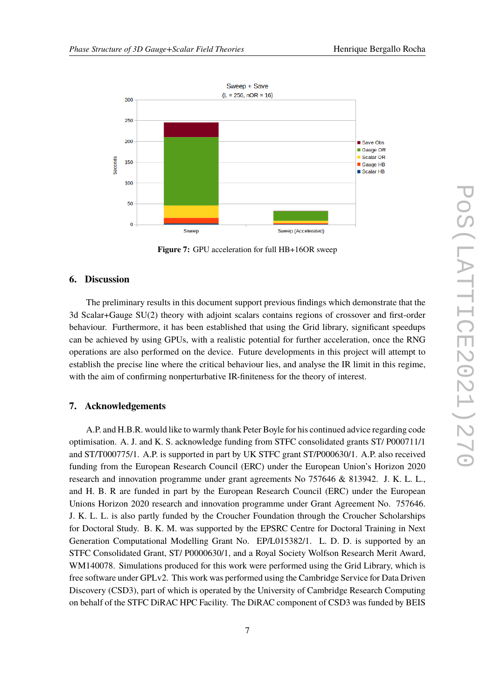<span id="page-6-0"></span>

**Figure 7:** GPU acceleration for full HB+16OR sweep

### **6. Discussion**

The preliminary results in this document support previous findings which demonstrate that the 3d Scalar+Gauge SU(2) theory with adjoint scalars contains regions of crossover and first-order behaviour. Furthermore, it has been established that using the Grid library, significant speedups can be achieved by using GPUs, with a realistic potential for further acceleration, once the RNG operations are also performed on the device. Future developments in this project will attempt to establish the precise line where the critical behaviour lies, and analyse the IR limit in this regime, with the aim of confirming nonperturbative IR-finiteness for the theory of interest.

## **7. Acknowledgements**

A.P. and H.B.R. would like to warmly thank Peter Boyle for his continued advice regarding code optimisation. A. J. and K. S. acknowledge funding from STFC consolidated grants ST/ P000711/1 and ST/T000775/1. A.P. is supported in part by UK STFC grant ST/P000630/1. A.P. also received funding from the European Research Council (ERC) under the European Union's Horizon 2020 research and innovation programme under grant agreements No 757646 & 813942. J. K. L. L., and H. B. R are funded in part by the European Research Council (ERC) under the European Unions Horizon 2020 research and innovation programme under Grant Agreement No. 757646. J. K. L. L. is also partly funded by the Croucher Foundation through the Croucher Scholarships for Doctoral Study. B. K. M. was supported by the EPSRC Centre for Doctoral Training in Next Generation Computational Modelling Grant No. EP/L015382/1. L. D. D. is supported by an STFC Consolidated Grant, ST/ P0000630/1, and a Royal Society Wolfson Research Merit Award, WM140078. Simulations produced for this work were performed using the Grid Library, which is free software under GPLv2. This work was performed using the Cambridge Service for Data Driven Discovery (CSD3), part of which is operated by the University of Cambridge Research Computing on behalf of the STFC DiRAC HPC Facility. The DiRAC component of CSD3 was funded by BEIS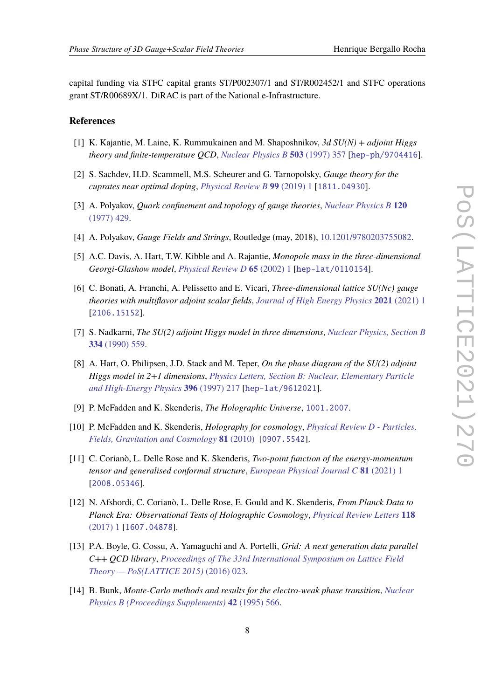capital funding via STFC capital grants ST/P002307/1 and ST/R002452/1 and STFC operations grant ST/R00689X/1. DiRAC is part of the National e-Infrastructure.

#### **References**

- <span id="page-7-0"></span>[1] K. Kajantie, M. Laine, K. Rummukainen and M. Shaposhnikov, *3d SU(N) + adjoint Higgs theory and finite-temperature QCD*, *[Nuclear Physics B](https://doi.org/10.1016/S0550-3213(97)00425-2)* **503** (1997) 357 [[hep-ph/9704416](https://arxiv.org/abs/hep-ph/9704416)].
- <span id="page-7-1"></span>[2] S. Sachdev, H.D. Scammell, M.S. Scheurer and G. Tarnopolsky, *Gauge theory for the cuprates near optimal doping*, *[Physical Review B](https://doi.org/10.1103/PhysRevB.99.054516)* **99** (2019) 1 [[1811.04930](https://arxiv.org/abs/1811.04930)].
- <span id="page-7-2"></span>[3] A. Polyakov, *Quark confinement and topology of gauge theories*, *[Nuclear Physics B](https://doi.org/10.1016/0550-3213(77)90086-4)* **120** [\(1977\) 429.](https://doi.org/10.1016/0550-3213(77)90086-4)
- <span id="page-7-3"></span>[4] A. Polyakov, *Gauge Fields and Strings*, Routledge (may, 2018), [10.1201/9780203755082.](https://doi.org/10.1201/9780203755082)
- <span id="page-7-4"></span>[5] A.C. Davis, A. Hart, T.W. Kibble and A. Rajantie, *Monopole mass in the three-dimensional Georgi-Glashow model*, *[Physical Review D](https://doi.org/10.1103/PhysRevD.65.125008)* **65** (2002) 1 [[hep-lat/0110154](https://arxiv.org/abs/hep-lat/0110154)].
- [6] C. Bonati, A. Franchi, A. Pelissetto and E. Vicari, *Three-dimensional lattice SU(Nc) gauge theories with multiflavor adjoint scalar fields*, *[Journal of High Energy Physics](https://doi.org/10.1007/JHEP05(2021)018)* **2021** (2021) 1 [[2106.15152](https://arxiv.org/abs/2106.15152)].
- <span id="page-7-12"></span>[7] S. Nadkarni, *The SU(2) adjoint Higgs model in three dimensions*, *[Nuclear Physics, Section B](https://doi.org/10.1016/0550-3213(90)90491-U)* **334** [\(1990\) 559.](https://doi.org/10.1016/0550-3213(90)90491-U)
- <span id="page-7-5"></span>[8] A. Hart, O. Philipsen, J.D. Stack and M. Teper, *On the phase diagram of the SU(2) adjoint Higgs model in 2+1 dimensions*, *[Physics Letters, Section B: Nuclear, Elementary Particle](https://doi.org/10.1016/S0370-2693(97)00104-4) [and High-Energy Physics](https://doi.org/10.1016/S0370-2693(97)00104-4)* **396** (1997) 217 [[hep-lat/9612021](https://arxiv.org/abs/hep-lat/9612021)].
- <span id="page-7-6"></span>[9] P. McFadden and K. Skenderis, *The Holographic Universe*, [1001.2007](https://arxiv.org/abs/1001.2007).
- <span id="page-7-7"></span>[10] P. McFadden and K. Skenderis, *Holography for cosmology*, *[Physical Review D - Particles,](https://doi.org/10.1103/PhysRevD.81.021301) [Fields, Gravitation and Cosmology](https://doi.org/10.1103/PhysRevD.81.021301)* **81** (2010) [[0907.5542](https://arxiv.org/abs/0907.5542)].
- <span id="page-7-8"></span>[11] C. Corianò, L. Delle Rose and K. Skenderis, *Two-point function of the energy-momentum tensor and generalised conformal structure*, *[European Physical Journal C](https://doi.org/10.1140/epjc/s10052-021-08892-5)* **81** (2021) 1 [[2008.05346](https://arxiv.org/abs/2008.05346)].
- <span id="page-7-9"></span>[12] N. Afshordi, C. Corianò, L. Delle Rose, E. Gould and K. Skenderis, *From Planck Data to Planck Era: Observational Tests of Holographic Cosmology*, *[Physical Review Letters](https://doi.org/10.1103/PhysRevLett.118.041301)* **118** [\(2017\) 1](https://doi.org/10.1103/PhysRevLett.118.041301) [[1607.04878](https://arxiv.org/abs/1607.04878)].
- <span id="page-7-10"></span>[13] P.A. Boyle, G. Cossu, A. Yamaguchi and A. Portelli, *Grid: A next generation data parallel C++ QCD library*, *[Proceedings of The 33rd International Symposium on Lattice Field](https://doi.org/10.22323/1.251.0023) [Theory — PoS\(LATTICE 2015\)](https://doi.org/10.22323/1.251.0023)* (2016) 023.
- <span id="page-7-11"></span>[14] B. Bunk, *Monte-Carlo methods and results for the electro-weak phase transition*, *[Nuclear](https://doi.org/10.1016/0920-5632(95)00313-X) [Physics B \(Proceedings Supplements\)](https://doi.org/10.1016/0920-5632(95)00313-X)* **42** (1995) 566.